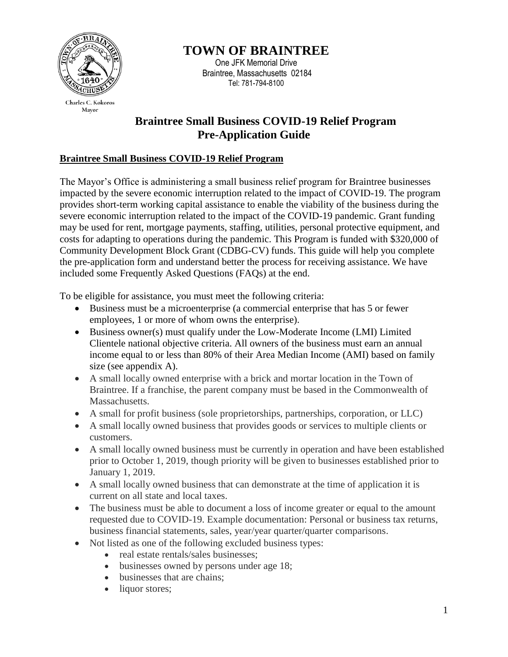

Charles C. Kokoros Mayor

**TOWN OF BRAINTREE**

One JFK Memorial Drive Braintree, Massachusetts 02184 Tel: 781-794-8100

# **Braintree Small Business COVID-19 Relief Program Pre-Application Guide**

# **Braintree Small Business COVID-19 Relief Program**

The Mayor's Office is administering a small business relief program for Braintree businesses impacted by the severe economic interruption related to the impact of COVID-19. The program provides short-term working capital assistance to enable the viability of the business during the severe economic interruption related to the impact of the COVID-19 pandemic. Grant funding may be used for rent, mortgage payments, staffing, utilities, personal protective equipment, and costs for adapting to operations during the pandemic. This Program is funded with \$320,000 of Community Development Block Grant (CDBG-CV) funds. This guide will help you complete the pre-application form and understand better the process for receiving assistance. We have included some Frequently Asked Questions (FAQs) at the end.

To be eligible for assistance, you must meet the following criteria:

- Business must be a microenterprise (a commercial enterprise that has 5 or fewer employees, 1 or more of whom owns the enterprise).
- Business owner(s) must qualify under the Low-Moderate Income (LMI) Limited Clientele national objective criteria. All owners of the business must earn an annual income equal to or less than 80% of their Area Median Income (AMI) based on family size (see appendix A).
- A small locally owned enterprise with a brick and mortar location in the Town of Braintree. If a franchise, the parent company must be based in the Commonwealth of Massachusetts.
- A small for profit business (sole proprietorships, partnerships, corporation, or LLC)
- A small locally owned business that provides goods or services to multiple clients or customers.
- A small locally owned business must be currently in operation and have been established prior to October 1, 2019, though priority will be given to businesses established prior to January 1, 2019.
- A small locally owned business that can demonstrate at the time of application it is current on all state and local taxes.
- The business must be able to document a loss of income greater or equal to the amount requested due to COVID-19. Example documentation: Personal or business tax returns, business financial statements, sales, year/year quarter/quarter comparisons.
- Not listed as one of the following excluded business types:
	- real estate rentals/sales businesses;
	- businesses owned by persons under age 18;
	- businesses that are chains;
	- liquor stores;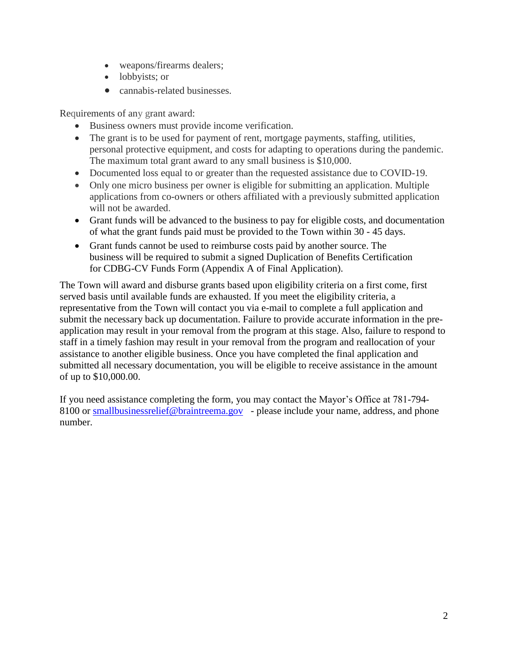- weapons/firearms dealers;
- lobbyists; or
- cannabis-related businesses.

Requirements of any grant award:

- Business owners must provide income verification.
- The grant is to be used for payment of rent, mortgage payments, staffing, utilities, personal protective equipment, and costs for adapting to operations during the pandemic. The maximum total grant award to any small business is \$10,000.
- Documented loss equal to or greater than the requested assistance due to COVID-19.
- Only one micro business per owner is eligible for submitting an application. Multiple applications from co-owners or others affiliated with a previously submitted application will not be awarded.
- Grant funds will be advanced to the business to pay for eligible costs, and documentation of what the grant funds paid must be provided to the Town within 30 - 45 days.
- Grant funds cannot be used to reimburse costs paid by another source. The business will be required to submit a signed Duplication of Benefits Certification for CDBG-CV Funds Form (Appendix A of Final Application).

The Town will award and disburse grants based upon eligibility criteria on a first come, first served basis until available funds are exhausted. If you meet the eligibility criteria, a representative from the Town will contact you via e-mail to complete a full application and submit the necessary back up documentation. Failure to provide accurate information in the preapplication may result in your removal from the program at this stage. Also, failure to respond to staff in a timely fashion may result in your removal from the program and reallocation of your assistance to another eligible business. Once you have completed the final application and submitted all necessary documentation, you will be eligible to receive assistance in the amount of up to \$10,000.00.

If you need assistance completing the form, you may contact the Mayor's Office at 781-794 8100 o[r](mailto:covidrelief@town.arlington.ma.us) [smallbusinessrelief@braintreema.gov](mailto:smallbusinessrelief@braintreema.gov) - please include your name, address, and phone number.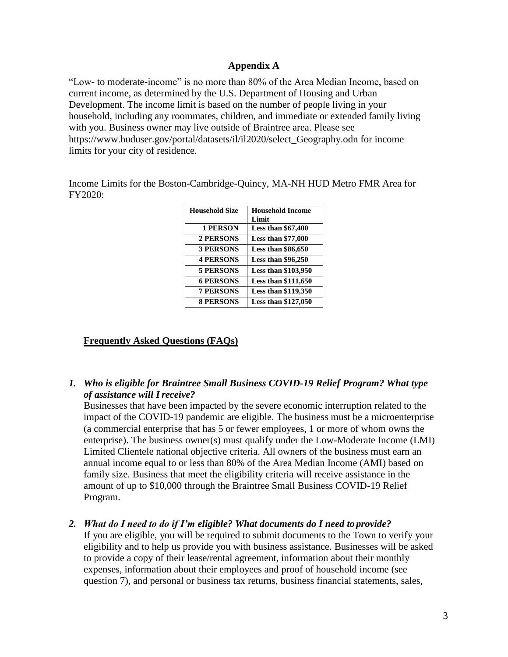#### **Appendix A**

"Low- to moderate-income" is no more than 80% of the Area Median Income, based on current income, as determined by the U.S. Department of Housing and Urban Development. The income limit is based on the number of people living in your household, including any roommates, children, and immediate or extended family living with you. Business owner may live outside of Braintree area. Please see https://www.huduser.gov/portal/datasets/il/il2020/select\_Geography.odn for income limits for your city of residence.

Income Limits for the Boston-Cambridge-Quincy, MA-NH HUD Metro FMR Area for FY2020:

| <b>Household Size</b> | <b>Household Income</b><br>Limit |
|-----------------------|----------------------------------|
| <b>1 PERSON</b>       | <b>Less than \$67,400</b>        |
| <b>2 PERSONS</b>      | Less than \$77,000               |
| <b>3 PERSONS</b>      | <b>Less than \$86,650</b>        |
| <b>4 PERSONS</b>      | <b>Less than \$96,250</b>        |
| <b>5 PERSONS</b>      | <b>Less than \$103,950</b>       |
| <b>6 PERSONS</b>      | <b>Less than \$111,650</b>       |
| <b>7 PERSONS</b>      | Less than \$119,350              |
| <b>8 PERSONS</b>      | <b>Less than \$127,050</b>       |

# **Frequently Asked Questions (FAQs)**

# *1. Who is eligible for Braintree Small Business COVID-19 Relief Program? What type of assistance will Ireceive?*

Businesses that have been impacted by the severe economic interruption related to the impact of the COVID-19 pandemic are eligible. The business must be a microenterprise (a commercial enterprise that has 5 or fewer employees, 1 or more of whom owns the enterprise). The business owner(s) must qualify under the Low-Moderate Income (LMI) Limited Clientele national objective criteria. All owners of the business must earn an annual income equal to or less than 80% of the Area Median Income (AMI) based on family size. Business that meet the eligibility criteria will receive assistance in the amount of up to \$10,000 through the Braintree Small Business COVID-19 Relief Program.

#### *2. What do I need to do if I'm eligible? What documents do I need to provide?*

If you are eligible, you will be required to submit documents to the Town to verify your eligibility and to help us provide you with business assistance. Businesses will be asked to provide a copy of their lease/rental agreement, information about their monthly expenses, information about their employees and proof of household income (see question 7), and personal or business tax returns, business financial statements, sales,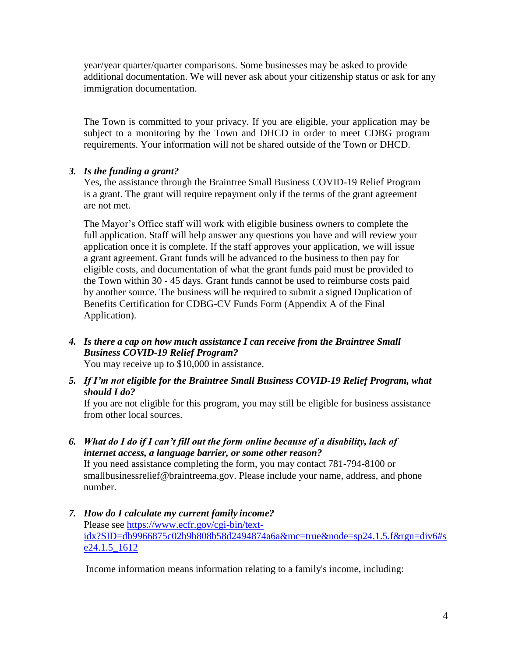year/year quarter/quarter comparisons. Some businesses may be asked to provide additional documentation. We will never ask about your citizenship status or ask for any immigration documentation.

The Town is committed to your privacy. If you are eligible, your application may be subject to a monitoring by the Town and DHCD in order to meet CDBG program requirements. Your information will not be shared outside of the Town or DHCD.

# *3. Is the funding a grant?*

Yes, the assistance through the Braintree Small Business COVID-19 Relief Program is a grant. The grant will require repayment only if the terms of the grant agreement are not met.

The Mayor's Office staff will work with eligible business owners to complete the full application. Staff will help answer any questions you have and will review your application once it is complete. If the staff approves your application, we will issue a grant agreement. Grant funds will be advanced to the business to then pay for eligible costs, and documentation of what the grant funds paid must be provided to the Town within 30 - 45 days. Grant funds cannot be used to reimburse costs paid by another source. The business will be required to submit a signed Duplication of Benefits Certification for CDBG-CV Funds Form (Appendix A of the Final Application).

*4. Is there a cap on how much assistance I can receive from the Braintree Small Business COVID-19 Relief Program?*

You may receive up to \$10,000 in assistance.

*5. If I'm not eligible for the Braintree Small Business COVID-19 Relief Program, what should I do?*

If you are not eligible for this program, you may still be eligible for business assistance from other local sources.

*6. What do I do if I can't fill out the form online because of a disability, lack of internet access, a language barrier, or some other reason?*

If you need assistance completing the form, you may contact 781-794-8100 or smallbusinessrelief@braintreema.gov. Please include your name, address, and phone number.

*7. How do I calculate my current family income?* Please see [https://www.ecfr.gov/cgi-bin/text](https://www.ecfr.gov/cgi-bin/text-idx?SID=db9966875c02b9b808b58d2494874a6a&mc=true&node=sp24.1.5.f&rgn=div6#se24.1.5_1612)[idx?SID=db9966875c02b9b808b58d2494874a6a&mc=true&node=sp24.1.5.f&rgn=div6#s](https://www.ecfr.gov/cgi-bin/text-idx?SID=db9966875c02b9b808b58d2494874a6a&mc=true&node=sp24.1.5.f&rgn=div6#se24.1.5_1612) [e24.1.5\\_1612](https://www.ecfr.gov/cgi-bin/text-idx?SID=db9966875c02b9b808b58d2494874a6a&mc=true&node=sp24.1.5.f&rgn=div6#se24.1.5_1612) 

Income information means information relating to a family's income, including: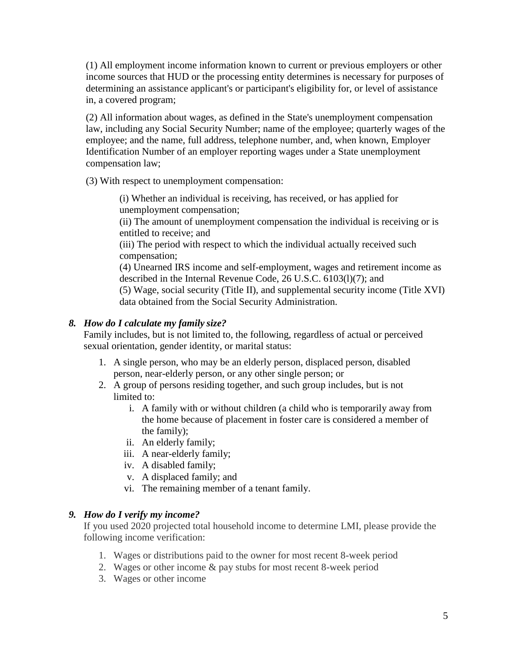(1) All employment [income information](https://www.law.cornell.edu/definitions/index.php?width=840&height=800&iframe=true&def_id=b889f7ef6875842d06580041477da471&term_occur=999&term_src=Title:24:Subtitle:A:Part:5:Subpart:B:5.214) known to current or previous employers or other income sources that [HUD](https://www.law.cornell.edu/definitions/index.php?width=840&height=800&iframe=true&def_id=4b78e5fd2284e72f267e7c82c1664dd7&term_occur=999&term_src=Title:24:Subtitle:A:Part:5:Subpart:B:5.214) or the [processing entity](https://www.law.cornell.edu/definitions/index.php?width=840&height=800&iframe=true&def_id=163cc51e576e981d70542a45174494ab&term_occur=999&term_src=Title:24:Subtitle:A:Part:5:Subpart:B:5.214) determines is necessary for purposes of determining an [assistance applicant's](https://www.law.cornell.edu/definitions/index.php?width=840&height=800&iframe=true&def_id=58fc830781f61b058ac1762f2416691d&term_occur=999&term_src=Title:24:Subtitle:A:Part:5:Subpart:B:5.214) or [participant'](https://www.law.cornell.edu/definitions/index.php?width=840&height=800&iframe=true&def_id=4224bbc4fdcbc17754a5215e5f8de924&term_occur=999&term_src=Title:24:Subtitle:A:Part:5:Subpart:B:5.214)s eligibility for, or level of assistance in, a covered program;

(2) All information about wages, as defined in the [State'](https://www.law.cornell.edu/definitions/index.php?width=840&height=800&iframe=true&def_id=cc0707efb2cf721de68fee8bce68a422&term_occur=999&term_src=Title:24:Subtitle:A:Part:5:Subpart:B:5.214)s unemployment compensation law, including any [Social Security Number;](https://www.law.cornell.edu/definitions/index.php?width=840&height=800&iframe=true&def_id=09677e490cc85531e5af05a6da3e75f5&term_occur=999&term_src=Title:24:Subtitle:A:Part:5:Subpart:B:5.214) name of the employee; quarterly wages of the employee; and the name, full address, telephone number, and, when known, [Employer](https://www.law.cornell.edu/definitions/index.php?width=840&height=800&iframe=true&def_id=2a17fe30e45ac60ee4f098bf2ac16aa4&term_occur=999&term_src=Title:24:Subtitle:A:Part:5:Subpart:B:5.214)  [Identification Number](https://www.law.cornell.edu/definitions/index.php?width=840&height=800&iframe=true&def_id=2a17fe30e45ac60ee4f098bf2ac16aa4&term_occur=999&term_src=Title:24:Subtitle:A:Part:5:Subpart:B:5.214) of an employer reporting wages under a [State](https://www.law.cornell.edu/definitions/index.php?width=840&height=800&iframe=true&def_id=cc0707efb2cf721de68fee8bce68a422&term_occur=999&term_src=Title:24:Subtitle:A:Part:5:Subpart:B:5.214) unemployment compensation law;

(3) With respect to unemployment compensation:

(i) Whether an individual is receiving, has received, or has applied for unemployment compensation;

(ii) The amount of unemployment compensation the individual is receiving or is entitled to receive; and

(iii) The period with respect to which the individual actually received such compensation;

(4) Unearned [IRS](https://www.law.cornell.edu/definitions/index.php?width=840&height=800&iframe=true&def_id=48665c20ad24dc4c29206c62e47af998&term_occur=999&term_src=Title:24:Subtitle:A:Part:5:Subpart:B:5.214) income and self-employment, wages and retirement income as described in the [Internal Revenue Code,](https://www.law.cornell.edu/topn/irc) [26 U.S.C. 6103\(l\)\(7\);](https://www.law.cornell.edu/uscode/text/26/6103#l_7) and

(5) Wage, social security (Title II), and supplemental security income (Title XVI) data obtained from the Social Security Administration.

# *8. How do I calculate my family size?*

Family includes, but is not limited to, the following, regardless of actual or perceived sexual orientation, gender identity, or marital status:

- 1. A single person, who may be an elderly person, displaced person, disabled person, near-elderly person, or any other single person; or
- 2. A group of persons residing together, and such group includes, but is not limited to:
	- i. A family with or without children (a child who is temporarily away from the home because of placement in foster care is considered a member of the family);
	- ii. An elderly family;
	- iii. A near-elderly family;
	- iv. A disabled family;
	- v. A displaced family; and
	- vi. The remaining member of a tenant family.

# *9. How do I verify my income?*

If you used 2020 projected total household income to determine LMI, please provide the following income verification:

- 1. Wages or distributions paid to the owner for most recent 8-week period
- 2. Wages or other income & pay stubs for most recent 8-week period
- 3. Wages or other income